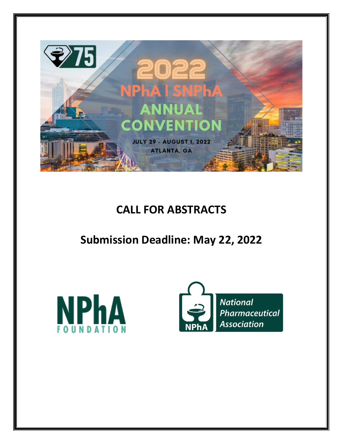

## **CALL FOR ABSTRACTS**

## **Submission Deadline: May 22, 2022**



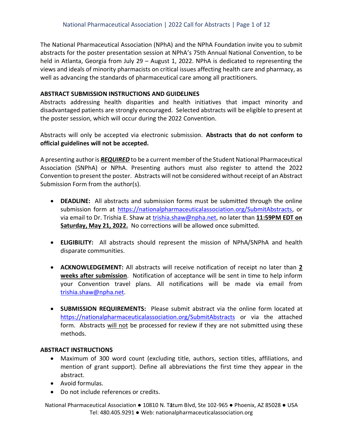The National Pharmaceutical Association (NPhA) and the NPhA Foundation invite you to submit abstracts for the poster presentation session at NPhA's 75th Annual National Convention, to be held in Atlanta, Georgia from July 29 – August 1, 2022. NPhA is dedicated to representing the views and ideals of minority pharmacists on critical issues affecting health care and pharmacy, as well as advancing the standards of pharmaceutical care among all practitioners.

### **ABSTRACT SUBMISSION INSTRUCTIONS AND GUIDELINES**

Abstracts addressing health disparities and health initiatives that impact minority and disadvantaged patients are strongly encouraged. Selected abstracts will be eligible to present at the poster session, which will occur during the 2022 Convention.

Abstracts will only be accepted via electronic submission. **Abstracts that do not conform to official guidelines will not be accepted.**

A presenting author is *REQUIRED* to be a current member of the Student National Pharmaceutical Association (SNPhA) or NPhA. Presenting authors must also register to attend the 2022 Convention to present the poster. Abstracts will not be considered without receipt of an Abstract Submission Form from the author(s).

- **DEADLINE:** All abstracts and submission forms must be submitted through the online submission form at [https://nationalpharmaceuticalassociation.org/SubmitAbstracts,](https://nationalpharmaceuticalassociation.org/SubmitAbstracts) or via email to Dr. Trishia E. Shaw at [trishia.shaw@npha.net,](mailto:trishia.shaw@npha.net) no later than **11:59PM EDT on Saturday, May 21, 2022.** No corrections will be allowed once submitted.
- **ELIGIBILITY:** All abstracts should represent the mission of NPhA/SNPhA and health disparate communities.
- **ACKNOWLEDGEMENT:** All abstracts will receive notification of receipt no later than **2 weeks after submission**. Notification of acceptance will be sent in time to help inform your Convention travel plans. All notifications will be made via email from [trishia.shaw@npha.net.](mailto:trishia.shaw@npha.net)
- **SUBMISSION REQUIREMENTS:** Please submit abstract via the online form located at <https://nationalpharmaceuticalassociation.org/SubmitAbstracts> or via the attached form. Abstracts will not be processed for review if they are not submitted using these methods.

### **ABSTRACT INSTRUCTIONS**

- Maximum of 300 word count (excluding title, authors, section titles, affiliations, and mention of grant support). Define all abbreviations the first time they appear in the abstract.
- Avoid formulas.
- Do not include references or credits.

National Pharmaceutical Association ● 10810 N. Tatum Blvd, Ste 102-965 ● Phoenix, AZ 85028 ● USA Tel: 480.405.9291 ● Web: nationalpharmaceuticalassociation.org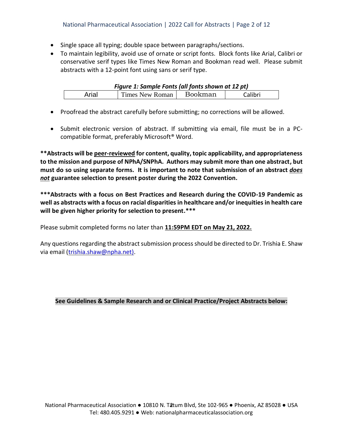- Single space all typing; double space between paragraphs/sections.
- To maintain legibility, avoid use of ornate or script fonts. Block fonts like Arial, Calibri or conservative serif types like Times New Roman and Bookman read well. Please submit abstracts with a 12-point font using sans or serif type.

| Figure 1: Sample Fonts (all fonts shown at 12 pt) |                        |         |         |  |
|---------------------------------------------------|------------------------|---------|---------|--|
| Arial                                             | <b>Times New Roman</b> | Bookman | Calibri |  |

- Proofread the abstract carefully before submitting; no corrections will be allowed.
- Submit electronic version of abstract. If submitting via email, file must be in a PCcompatible format, preferably Microsoft® Word.

**\*\*Abstracts will be peer-reviewed for content, quality, topic applicability, and appropriateness to the mission and purpose of NPhA/SNPhA. Authors may submit more than one abstract, but must do so using separate forms. It is important to note that submission of an abstract** *does not* **guarantee selection to present poster during the 2022 Convention.**

**\*\*\*Abstracts with a focus on Best Practices and Research during the COVID-19 Pandemic as well as abstracts with a focus on racial disparities in healthcare and/or inequities in health care will be given higher priority for selection to present.\*\*\***

Please submit completed forms no later than **11:59PM EDT on May 21, 2022.**

Any questions regarding the abstract submission process should be directed to Dr. Trishia E. Shaw via email [\(trishia.shaw@npha.net\).](mailto:trishia.shaw@npha.net))

### **See Guidelines & Sample Research and or Clinical Practice/Project Abstracts below:**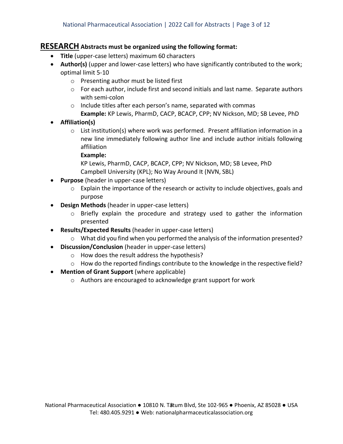## **RESEARCH Abstracts must be organized using the following format:**

- **Title** (upper-case letters) maximum 60 characters
- **Author(s)** (upper and lower-case letters) who have significantly contributed to the work; optimal limit 5-10
	- o Presenting author must be listed first
	- $\circ$  For each author, include first and second initials and last name. Separate authors with semi-colon
	- o Include titles after each person's name, separated with commas **Example:** KP Lewis, PharmD, CACP, BCACP, CPP; NV Nickson, MD; SB Levee, PhD
- **Affiliation(s)**
	- $\circ$  List institution(s) where work was performed. Present affiliation information in a new line immediately following author line and include author initials following affiliation

### **Example:**

KP Lewis, PharmD, CACP, BCACP, CPP; NV Nickson, MD; SB Levee, PhD Campbell University (KPL); No Way Around It (NVN, SBL)

- **Purpose** (header in upper-case letters)
	- $\circ$  Explain the importance of the research or activity to include objectives, goals and purpose
- **Design Methods** (header in upper-case letters)
	- $\circ$  Briefly explain the procedure and strategy used to gather the information presented
- **Results/Expected Results** (header in upper-case letters)
	- $\circ$  What did you find when you performed the analysis of the information presented?
- **Discussion/Conclusion** (header in upper-case letters)
	- o How does the result address the hypothesis?
	- $\circ$  How do the reported findings contribute to the knowledge in the respective field?
- **Mention of Grant Support** (where applicable)
	- o Authors are encouraged to acknowledge grant support for work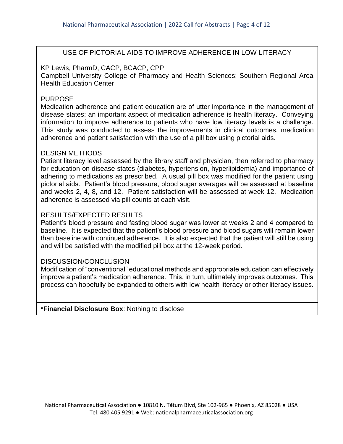## USE OF PICTORIAL AIDS TO IMPROVE ADHERENCE IN LOW LITERACY

### KP Lewis, PharmD, CACP, BCACP, CPP

Campbell University College of Pharmacy and Health Sciences; Southern Regional Area Health Education Center

### PURPOSE

Medication adherence and patient education are of utter importance in the management of disease states; an important aspect of medication adherence is health literacy. Conveying information to improve adherence to patients who have low literacy levels is a challenge. This study was conducted to assess the improvements in clinical outcomes, medication adherence and patient satisfaction with the use of a pill box using pictorial aids.

### DESIGN METHODS

Patient literacy level assessed by the library staff and physician, then referred to pharmacy for education on disease states (diabetes, hypertension, hyperlipidemia) and importance of adhering to medications as prescribed. A usual pill box was modified for the patient using pictorial aids. Patient's blood pressure, blood sugar averages will be assessed at baseline and weeks 2, 4, 8, and 12. Patient satisfaction will be assessed at week 12. Medication adherence is assessed via pill counts at each visit.

### RESULTS/EXPECTED RESULTS

Patient's blood pressure and fasting blood sugar was lower at weeks 2 and 4 compared to baseline. It is expected that the patient's blood pressure and blood sugars will remain lower than baseline with continued adherence. It is also expected that the patient will still be using and will be satisfied with the modified pill box at the 12-week period.

### DISCUSSION/CONCLUSION

Modification of "conventional" educational methods and appropriate education can effectively improve a patient's medication adherence. This, in turn, ultimately improves outcomes. This process can hopefully be expanded to others with low health literacy or other literacy issues.

\***Financial Disclosure Box**: Nothing to disclose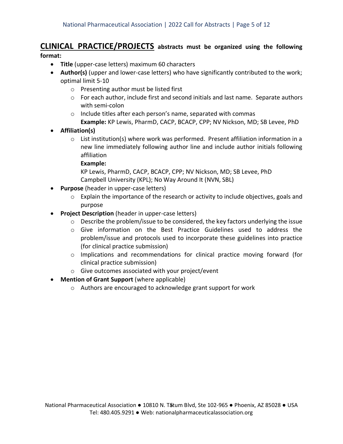# **CLINICAL PRACTICE/PROJECTS abstracts must be organized using the following**

## **format:**

- **Title** (upper-case letters) maximum 60 characters
- **Author(s)** (upper and lower-case letters) who have significantly contributed to the work; optimal limit 5-10
	- o Presenting author must be listed first
	- $\circ$  For each author, include first and second initials and last name. Separate authors with semi-colon
	- o Include titles after each person's name, separated with commas **Example:** KP Lewis, PharmD, CACP, BCACP, CPP; NV Nickson, MD; SB Levee, PhD
- **Affiliation(s)**
	- o List institution(s) where work was performed. Present affiliation information in a new line immediately following author line and include author initials following affiliation

### **Example:**

KP Lewis, PharmD, CACP, BCACP, CPP; NV Nickson, MD; SB Levee, PhD Campbell University (KPL); No Way Around It (NVN, SBL)

- **Purpose** (header in upper-case letters)
	- $\circ$  Explain the importance of the research or activity to include objectives, goals and purpose
- **Project Description** (header in upper-case letters)
	- o Describe the problem/issue to be considered, the key factors underlying the issue
	- o Give information on the Best Practice Guidelines used to address the problem/issue and protocols used to incorporate these guidelines into practice (for clinical practice submission)
	- $\circ$  Implications and recommendations for clinical practice moving forward (for clinical practice submission)
	- o Give outcomes associated with your project/event
- **Mention of Grant Support** (where applicable)
	- o Authors are encouraged to acknowledge grant support for work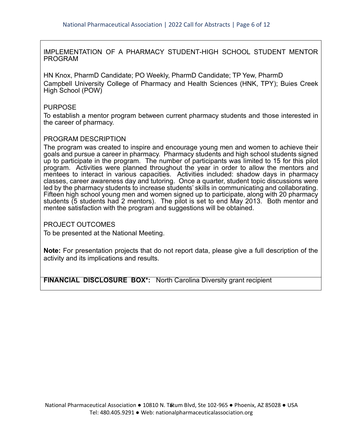IMPLEMENTATION OF A PHARMACY STUDENT-HIGH SCHOOL STUDENT MENTOR PROGRAM

HN Knox, PharmD Candidate; PO Weekly, PharmD Candidate; TP Yew, PharmD Campbell University College of Pharmacy and Health Sciences (HNK, TPY); Buies Creek High School (POW)

### PURPOSE

To establish a mentor program between current pharmacy students and those interested in the career of pharmacy.

### PROGRAM DESCRIPTION

The program was created to inspire and encourage young men and women to achieve their goals and pursue a career in pharmacy. Pharmacy students and high school students signed up to participate in the program. The number of participants was limited to 15 for this pilot program. Activities were planned throughout the year in order to allow the mentors and mentees to interact in various capacities. Activities included: shadow days in pharmacy classes, career awareness day and tutoring. Once a quarter, student topic discussions were led by the pharmacy students to increase students' skills in communicating and collaborating. Fifteen high school young men and women signed up to participate, along with 20 pharmacy students (5 students had 2 mentors). The pilot is set to end May 2013. Both mentor and mentee satisfaction with the program and suggestions will be obtained.

PROJECT OUTCOMES

To be presented at the National Meeting.

**Note:** For presentation projects that do not report data, please give a full description of the activity and its implications and results.

**FINANCIAL DISCLOSURE BOX\*:** North Carolina Diversity grant recipient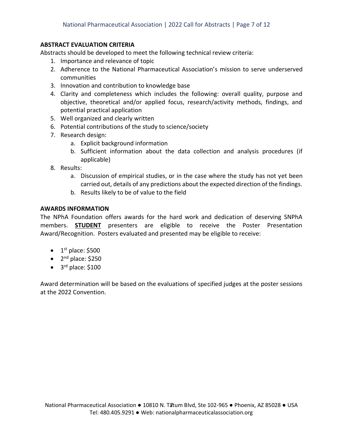### **ABSTRACT EVALUATION CRITERIA**

Abstracts should be developed to meet the following technical review criteria:

- 1. Importance and relevance of topic
- 2. Adherence to the National Pharmaceutical Association's mission to serve underserved communities
- 3. Innovation and contribution to knowledge base
- 4. Clarity and completeness which includes the following: overall quality, purpose and objective, theoretical and/or applied focus, research/activity methods, findings, and potential practical application
- 5. Well organized and clearly written
- 6. Potential contributions of the study to science/society
- 7. Research design:
	- a. Explicit background information
	- b. Sufficient information about the data collection and analysis procedures (if applicable)
- 8. Results:
	- a. Discussion of empirical studies, or in the case where the study has not yet been carried out, details of any predictions about the expected direction of the findings.
	- b. Results likely to be of value to the field

### **AWARDS INFORMATION**

The NPhA Foundation offers awards for the hard work and dedication of deserving SNPhA members. **STUDENT** presenters are eligible to receive the Poster Presentation Award/Recognition. Posters evaluated and presented may be eligible to receive:

- $\bullet$  1<sup>st</sup> place: \$500
- $\bullet$  2<sup>nd</sup> place: \$250
- $\bullet$  3<sup>rd</sup> place: \$100

Award determination will be based on the evaluations of specified judges at the poster sessions at the 2022 Convention.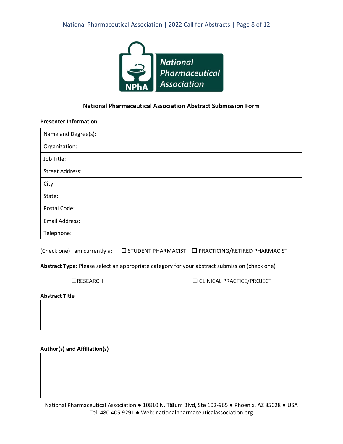

### **National Pharmaceutical Association Abstract Submission Form**

### **Presenter Information**

| Name and Degree(s):    |  |
|------------------------|--|
| Organization:          |  |
| Job Title:             |  |
| <b>Street Address:</b> |  |
| City:                  |  |
| State:                 |  |
| Postal Code:           |  |
| <b>Email Address:</b>  |  |
| Telephone:             |  |

(Check one) I am currently a:  $\square$  STUDENT PHARMACIST  $\square$  PRACTICING/RETIRED PHARMACIST

**Abstract Type:** Please select an appropriate category for your abstract submission (check one)

RESEARCH CLINICAL PRACTICE/PROJECT

**Abstract Title**

**Author(s) and Affiliation(s)**

National Pharmaceutical Association ● 10810 N. T&tum Blvd, Ste 102-965 ● Phoenix, AZ 85028 ● USA Tel: 480.405.9291 ● Web: nationalpharmaceuticalassociation.org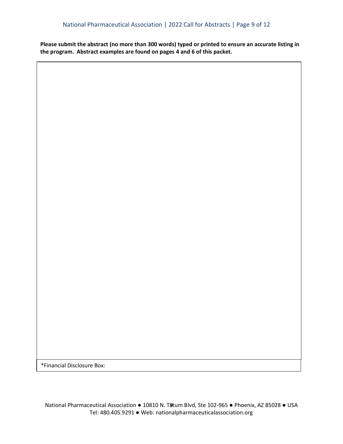**Please submit the abstract (no more than 300 words) typed or printed to ensure an accurate listing in the program. Abstract examples are found on pages 4 and 6 of this packet.**

\*Financial Disclosure Box: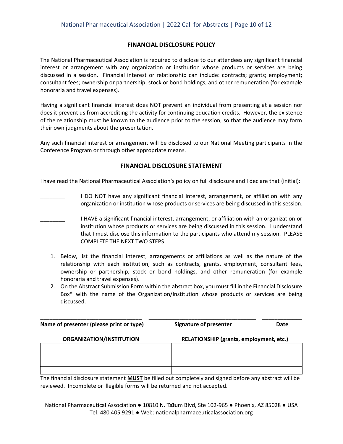### **FINANCIAL DISCLOSURE POLICY**

The National Pharmaceutical Association is required to disclose to our attendees any significant financial interest or arrangement with any organization or institution whose products or services are being discussed in a session. Financial interest or relationship can include: contracts; grants; employment; consultant fees; ownership or partnership; stock or bond holdings; and other remuneration (for example honoraria and travel expenses).

Having a significant financial interest does NOT prevent an individual from presenting at a session nor does it prevent us from accrediting the activity for continuing education credits. However, the existence of the relationship must be known to the audience prior to the session, so that the audience may form their own judgments about the presentation.

Any such financial interest or arrangement will be disclosed to our National Meeting participants in the Conference Program or through other appropriate means.

#### **FINANCIAL DISCLOSURE STATEMENT**

I have read the National Pharmaceutical Association's policy on full disclosure and I declare that (initial):

- I DO NOT have any significant financial interest, arrangement, or affiliation with any organization or institution whose products or services are being discussed in this session.
- \_\_\_\_\_\_\_\_ I HAVE a significant financial interest, arrangement, or affiliation with an organization or institution whose products or services are being discussed in this session. I understand that I must disclose this information to the participants who attend my session. PLEASE COMPLETE THE NEXT TWO STEPS:
	- 1. Below, list the financial interest, arrangements or affiliations as well as the nature of the relationship with each institution, such as contracts, grants, employment, consultant fees, ownership or partnership, stock or bond holdings, and other remuneration (for example honoraria and travel expenses).
	- 2. On the Abstract Submission Form within the abstract box, you must fill in the Financial Disclosure Box\* with the name of the Organization/Institution whose products or services are being discussed.

| Name of presenter (please print or type) | <b>Signature of presenter</b>           | Date |
|------------------------------------------|-----------------------------------------|------|
| ORGANIZATION/INSTITUTION                 | RELATIONSHIP (grants, employment, etc.) |      |
|                                          |                                         |      |
|                                          |                                         |      |
|                                          |                                         |      |

The financial disclosure statement **MUST** be filled out completely and signed before any abstract will be reviewed. Incomplete or illegible forms will be returned and not accepted.

National Pharmaceutical Association ● 10810 N. Thum Blvd, Ste 102-965 ● Phoenix, AZ 85028 ● USA Tel: 480.405.9291 ● Web: nationalpharmaceuticalassociation.org